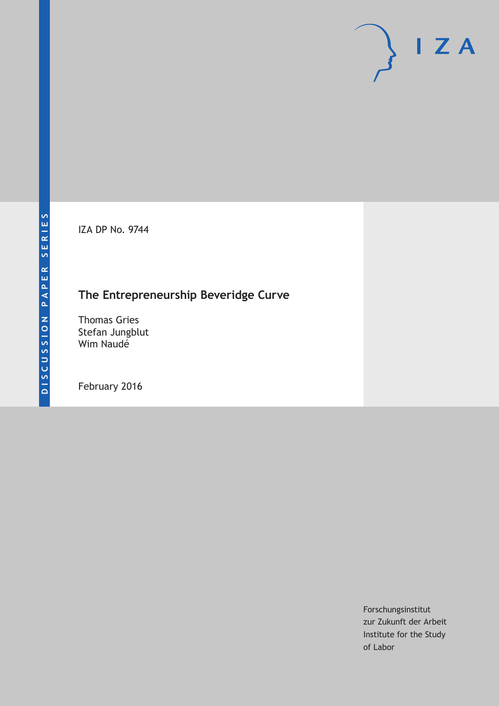IZA DP No. 9744

# **The Entrepreneurship Beveridge Curve**

Thomas Gries Stefan Jungblut Wim Naudé

February 2016

Forschungsinstitut zur Zukunft der Arbeit Institute for the Study of Labor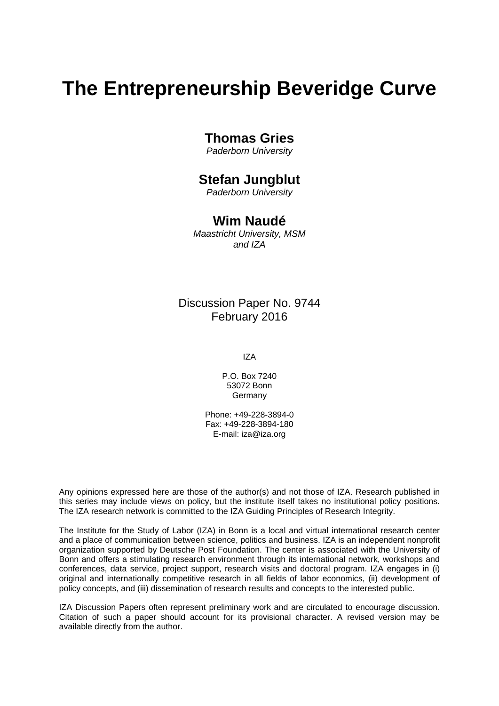# **The Entrepreneurship Beveridge Curve**

### **Thomas Gries**

*Paderborn University* 

### **Stefan Jungblut**

*Paderborn University* 

### **Wim Naudé**

*Maastricht University, MSM and IZA*

### Discussion Paper No. 9744 February 2016

IZA

P.O. Box 7240 53072 Bonn Germany

Phone: +49-228-3894-0 Fax: +49-228-3894-180 E-mail: iza@iza.org

Any opinions expressed here are those of the author(s) and not those of IZA. Research published in this series may include views on policy, but the institute itself takes no institutional policy positions. The IZA research network is committed to the IZA Guiding Principles of Research Integrity.

The Institute for the Study of Labor (IZA) in Bonn is a local and virtual international research center and a place of communication between science, politics and business. IZA is an independent nonprofit organization supported by Deutsche Post Foundation. The center is associated with the University of Bonn and offers a stimulating research environment through its international network, workshops and conferences, data service, project support, research visits and doctoral program. IZA engages in (i) original and internationally competitive research in all fields of labor economics, (ii) development of policy concepts, and (iii) dissemination of research results and concepts to the interested public.

IZA Discussion Papers often represent preliminary work and are circulated to encourage discussion. Citation of such a paper should account for its provisional character. A revised version may be available directly from the author.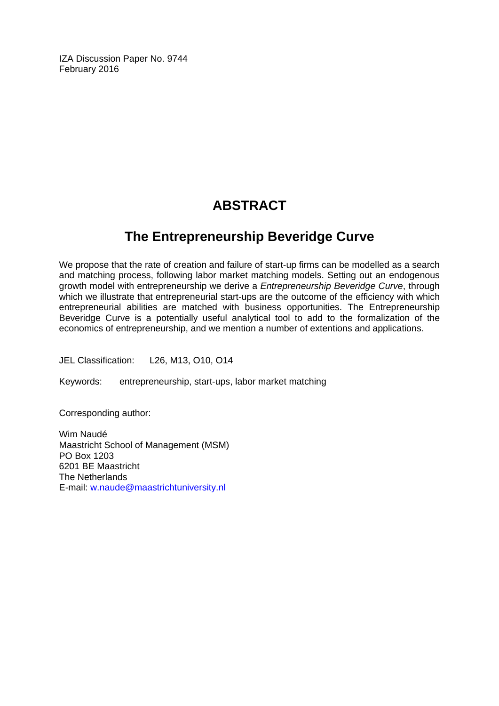IZA Discussion Paper No. 9744 February 2016

# **ABSTRACT**

## **The Entrepreneurship Beveridge Curve**

We propose that the rate of creation and failure of start-up firms can be modelled as a search and matching process, following labor market matching models. Setting out an endogenous growth model with entrepreneurship we derive a *Entrepreneurship Beveridge Curve*, through which we illustrate that entrepreneurial start-ups are the outcome of the efficiency with which entrepreneurial abilities are matched with business opportunities. The Entrepreneurship Beveridge Curve is a potentially useful analytical tool to add to the formalization of the economics of entrepreneurship, and we mention a number of extentions and applications.

JEL Classification: L26, M13, O10, O14

Keywords: entrepreneurship, start-ups, labor market matching

Corresponding author:

Wim Naudé Maastricht School of Management (MSM) PO Box 1203 6201 BE Maastricht The Netherlands E-mail: w.naude@maastrichtuniversity.nl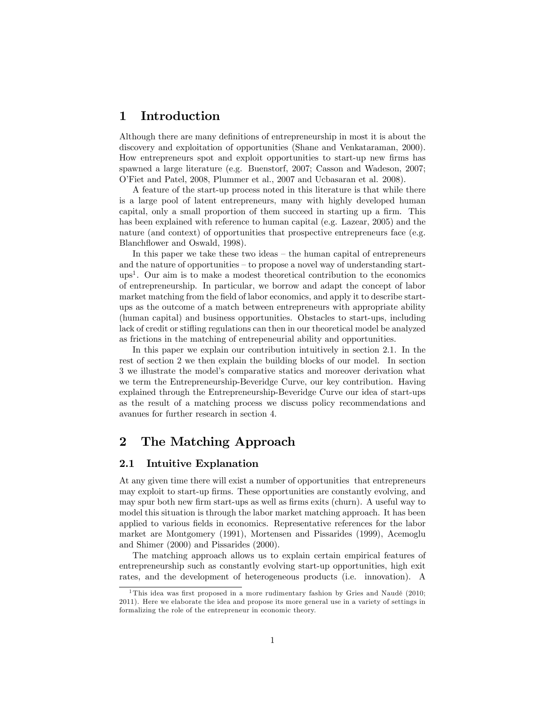### 1 Introduction

Although there are many definitions of entrepreneurship in most it is about the discovery and exploitation of opportunities (Shane and Venkataraman, 2000). How entrepreneurs spot and exploit opportunities to start-up new Örms has spawned a large literature (e.g. Buenstorf, 2007; Casson and Wadeson, 2007; OíFiet and Patel, 2008, Plummer et al., 2007 and Ucbasaran et al. 2008).

A feature of the start-up process noted in this literature is that while there is a large pool of latent entrepreneurs, many with highly developed human capital, only a small proportion of them succeed in starting up a firm. This has been explained with reference to human capital (e.g. Lazear, 2005) and the nature (and context) of opportunities that prospective entrepreneurs face (e.g. Blanchflower and Oswald, 1998).

In this paper we take these two ideas  $-$  the human capital of entrepreneurs and the nature of opportunities  $-$  to propose a novel way of understanding startups<sup>1</sup> . Our aim is to make a modest theoretical contribution to the economics of entrepreneurship. In particular, we borrow and adapt the concept of labor market matching from the field of labor economics, and apply it to describe startups as the outcome of a match between entrepreneurs with appropriate ability (human capital) and business opportunities. Obstacles to start-ups, including lack of credit or stifling regulations can then in our theoretical model be analyzed as frictions in the matching of entrepeneurial ability and opportunities.

In this paper we explain our contribution intuitively in section 2.1. In the rest of section 2 we then explain the building blocks of our model. In section 3 we illustrate the modelís comparative statics and moreover derivation what we term the Entrepreneurship-Beveridge Curve, our key contribution. Having explained through the Entrepreneurship-Beveridge Curve our idea of start-ups as the result of a matching process we discuss policy recommendations and avanues for further research in section 4.

### 2 The Matching Approach

#### 2.1 Intuitive Explanation

At any given time there will exist a number of opportunities that entrepreneurs may exploit to start-up firms. These opportunities are constantly evolving, and may spur both new firm start-ups as well as firms exits (churn). A useful way to model this situation is through the labor market matching approach. It has been applied to various fields in economics. Representative references for the labor market are Montgomery (1991), Mortensen and Pissarides (1999), Acemoglu and Shimer (2000) and Pissarides (2000).

The matching approach allows us to explain certain empirical features of entrepreneurship such as constantly evolving start-up opportunities, high exit rates, and the development of heterogeneous products (i.e. innovation). A

<sup>&</sup>lt;sup>1</sup>This idea was first proposed in a more rudimentary fashion by Gries and Naudé (2010; 2011). Here we elaborate the idea and propose its more general use in a variety of settings in formalizing the role of the entrepreneur in economic theory.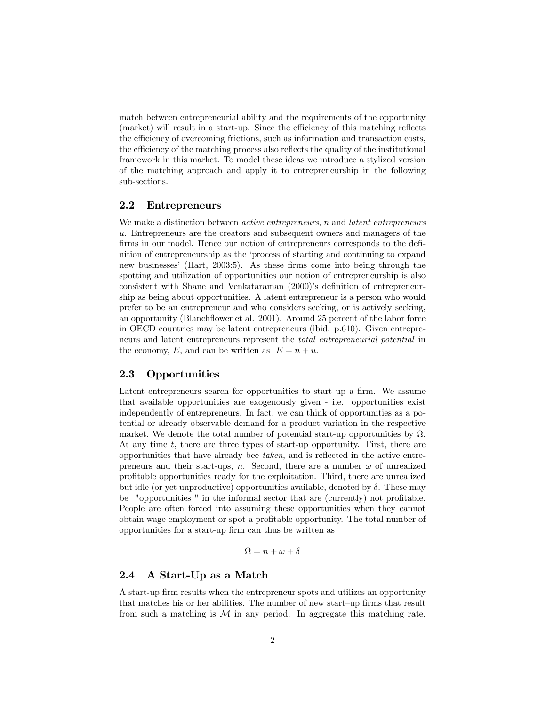match between entrepreneurial ability and the requirements of the opportunity (market) will result in a start-up. Since the efficiency of this matching reflects the efficiency of overcoming frictions, such as information and transaction costs, the efficiency of the matching process also reflects the quality of the institutional framework in this market. To model these ideas we introduce a stylized version of the matching approach and apply it to entrepreneurship in the following sub-sections.

#### 2.2 Entrepreneurs

We make a distinction between *active entrepreneurs*, n and *latent entrepreneurs* u. Entrepreneurs are the creators and subsequent owners and managers of the firms in our model. Hence our notion of entrepreneurs corresponds to the definition of entrepreneurship as the ëprocess of starting and continuing to expand new businesses' (Hart, 2003:5). As these firms come into being through the spotting and utilization of opportunities our notion of entrepreneurship is also consistent with Shane and Venkataraman (2000)'s definition of entrepreneurship as being about opportunities. A latent entrepreneur is a person who would prefer to be an entrepreneur and who considers seeking, or is actively seeking, an opportunity (Blanchflower et al. 2001). Around 25 percent of the labor force in OECD countries may be latent entrepreneurs (ibid. p.610). Given entrepreneurs and latent entrepreneurs represent the total entrepreneurial potential in the economy, E, and can be written as  $E = n + u$ .

#### 2.3 Opportunities

Latent entrepreneurs search for opportunities to start up a firm. We assume that available opportunities are exogenously given - i.e. opportunities exist independently of entrepreneurs. In fact, we can think of opportunities as a potential or already observable demand for a product variation in the respective market. We denote the total number of potential start-up opportunities by  $\Omega$ . At any time t, there are three types of start-up opportunity. First, there are opportunities that have already bee  $taken$ , and is reflected in the active entrepreneurs and their start-ups, n. Second, there are a number  $\omega$  of unrealized proÖtable opportunities ready for the exploitation. Third, there are unrealized but idle (or yet unproductive) opportunities available, denoted by  $\delta$ . These may be "opportunities" in the informal sector that are (currently) not profitable. People are often forced into assuming these opportunities when they cannot obtain wage employment or spot a profitable opportunity. The total number of opportunities for a start-up Örm can thus be written as

$$
\Omega = n + \omega + \delta
$$

#### 2.4 A Start-Up as a Match

A start-up firm results when the entrepreneur spots and utilizes an opportunity that matches his or her abilities. The number of new start-up firms that result from such a matching is  $M$  in any period. In aggregate this matching rate,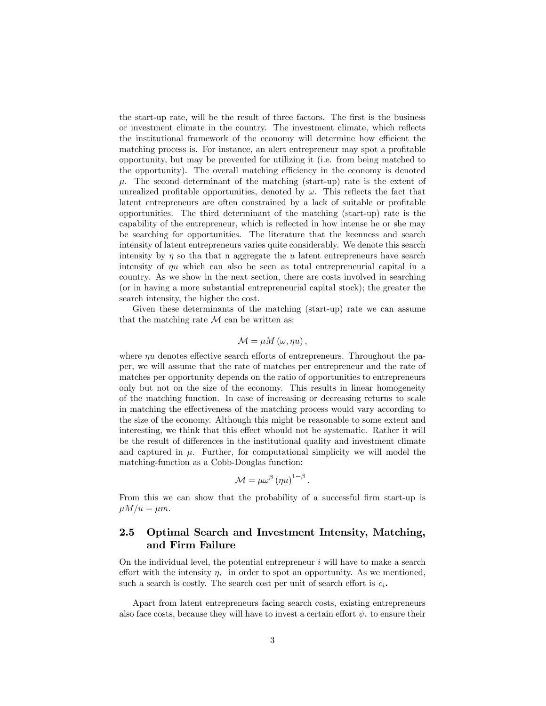the start-up rate, will be the result of three factors. The first is the business or investment climate in the country. The investment climate, which reflects the institutional framework of the economy will determine how efficient the matching process is. For instance, an alert entrepreneur may spot a profitable opportunity, but may be prevented for utilizing it (i.e. from being matched to the opportunity). The overall matching efficiency in the economy is denoted  $\mu$ . The second determinant of the matching (start-up) rate is the extent of unrealized profitable opportunities, denoted by  $\omega$ . This reflects the fact that latent entrepreneurs are often constrained by a lack of suitable or profitable opportunities. The third determinant of the matching (start-up) rate is the capability of the entrepreneur, which is reflected in how intense he or she may be searching for opportunities. The literature that the keenness and search intensity of latent entrepreneurs varies quite considerably. We denote this search intensity by  $\eta$  so that hat n aggregate the u latent entrepreneurs have search intensity of  $\eta u$  which can also be seen as total entrepreneurial capital in a country. As we show in the next section, there are costs involved in searching (or in having a more substantial entrepreneurial capital stock); the greater the search intensity, the higher the cost.

Given these determinants of the matching (start-up) rate we can assume that the matching rate  $M$  can be written as:

$$
\mathcal{M}=\mu M\left( \omega,\eta u\right) ,
$$

where  $\eta u$  denotes effective search efforts of entrepreneurs. Throughout the paper, we will assume that the rate of matches per entrepreneur and the rate of matches per opportunity depends on the ratio of opportunities to entrepreneurs only but not on the size of the economy. This results in linear homogeneity of the matching function. In case of increasing or decreasing returns to scale in matching the effectiveness of the matching process would vary according to the size of the economy. Although this might be reasonable to some extent and interesting, we think that this effect whould not be systematic. Rather it will be the result of differences in the institutional quality and investment climate and captured in  $\mu$ . Further, for computational simplicity we will model the matching-function as a Cobb-Douglas function:

$$
\mathcal{M} = \mu \omega^{\beta} \left( \eta u \right)^{1-\beta}.
$$

From this we can show that the probability of a successful firm start-up is  $\mu M/u = \mu m$ .

#### 2.5 Optimal Search and Investment Intensity, Matching, and Firm Failure

On the individual level, the potential entrepreneur  $i$  will have to make a search effort with the intensity  $\eta_i$  in order to spot an opportunity. As we mentioned, such a search is costly. The search cost per unit of search effort is  $c_i$ .

Apart from latent entrepreneurs facing search costs, existing entrepreneurs also face costs, because they will have to invest a certain effort  $\psi_i$  to ensure their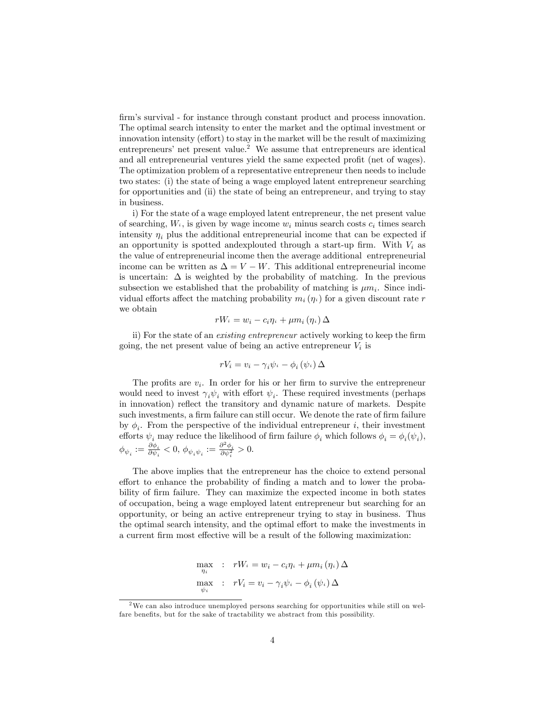firm's survival - for instance through constant product and process innovation. The optimal search intensity to enter the market and the optimal investment or innovation intensity (effort) to stay in the market will be the result of maximizing entrepreneurs' net present value.<sup>2</sup> We assume that entrepreneurs are identical and all entrepreneurial ventures yield the same expected profit (net of wages). The optimization problem of a representative entrepreneur then needs to include two states: (i) the state of being a wage employed latent entrepreneur searching for opportunities and (ii) the state of being an entrepreneur, and trying to stay in business.

i) For the state of a wage employed latent entrepreneur, the net present value of searching,  $W_i$ , is given by wage income  $w_i$  minus search costs  $c_i$  times search intensity  $\eta_i$  plus the additional entrepreneurial income that can be expected if an opportunity is spotted and explouted through a start-up firm. With  $V_i$  as the value of entrepreneurial income then the average additional entrepreneurial income can be written as  $\Delta = V - W$ . This additional entrepreneurial income is uncertain:  $\Delta$  is weighted by the probability of matching. In the previous subsection we established that the probability of matching is  $\mu m_i$ . Since individual efforts affect the matching probability  $m_i(\eta_i)$  for a given discount rate r we obtain

$$
rW_i = w_i - c_i \eta_i + \mu m_i (\eta_i) \Delta
$$

ii) For the state of an *existing entrepreneur* actively working to keep the firm going, the net present value of being an active entrepreneur  $V_i$  is

$$
rV_i = v_i - \gamma_i \psi_i - \phi_i(\psi_i) \Delta
$$

The profits are  $v_i$ . In order for his or her firm to survive the entrepreneur would need to invest  $\gamma_i \psi_i$  with effort  $\psi_i$ . These required investments (perhaps in innovation) reflect the transitory and dynamic nature of markets. Despite such investments, a firm failure can still occur. We denote the rate of firm failure by  $\phi_i$ . From the perspective of the individual entrepreneur i, their investment efforts  $\psi_i$  may reduce the likelihood of firm failure  $\phi_i$  which follows  $\phi_i = \phi_i(\psi_i)$ ,  $\phi_{\psi_i}:=\frac{\partial \phi_i}{\partial \psi_i}$  $\frac{\partial \phi_i}{\partial \psi_i} < 0, \ \phi_{\psi_i \psi_i} := \frac{\partial^2 \phi_i}{\partial \psi_i^2} > 0.$ 

The above implies that the entrepreneur has the choice to extend personal effort to enhance the probability of finding a match and to lower the probability of firm failure. They can maximize the expected income in both states of occupation, being a wage employed latent entrepreneur but searching for an opportunity, or being an active entrepreneur trying to stay in business. Thus the optimal search intensity, and the optimal effort to make the investments in a current firm most effective will be a result of the following maximization:

$$
\max_{\eta_i} : rW_i = w_i - c_i \eta_i + \mu m_i (\eta_i) \Delta
$$

$$
\max_{\psi_i} : rV_i = v_i - \gamma_i \psi_i - \phi_i (\psi_i) \Delta
$$

<sup>&</sup>lt;sup>2</sup>We can also introduce unemployed persons searching for opportunities while still on welfare benefits, but for the sake of tractability we abstract from this possibility.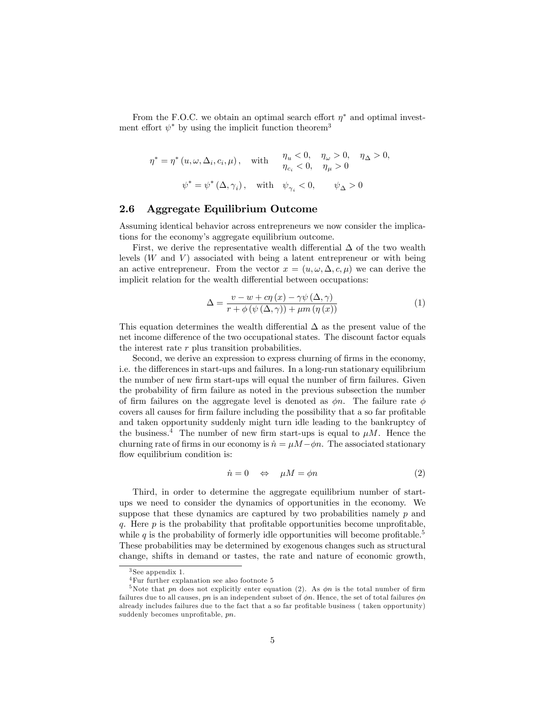From the F.O.C. we obtain an optimal search effort  $\eta^*$  and optimal investment effort  $\psi^*$  by using the implicit function theorem<sup>3</sup>

 $\eta^* = \eta^* (u, \omega, \Delta_i, c_i, \mu)$ , with  $\eta_u < 0$ ,  $\eta_{\omega} > 0$ ,  $\eta_{\Delta} > 0$ ,  $\eta_{c_i} < 0, \quad \eta_{\mu} > 0$  $\psi^* = \psi^* (\Delta, \gamma_i), \quad \text{with} \quad \psi_{\gamma_i} < 0, \qquad \psi_{\Delta} > 0$ 

#### 2.6 Aggregate Equilibrium Outcome

Assuming identical behavior across entrepreneurs we now consider the implications for the economy's aggregate equilibrium outcome.

First, we derive the representative wealth differential  $\Delta$  of the two wealth levels  $(W \text{ and } V)$  associated with being a latent entrepreneur or with being an active entrepreneur. From the vector  $x = (u, \omega, \Delta, c, \mu)$  we can derive the implicit relation for the wealth differential between occupations:

$$
\Delta = \frac{v - w + c\eta(x) - \gamma\psi(\Delta, \gamma)}{r + \phi(\psi(\Delta, \gamma)) + \mu m(\eta(x))}
$$
(1)

This equation determines the wealth differential  $\Delta$  as the present value of the net income difference of the two occupational states. The discount factor equals the interest rate r plus transition probabilities.

Second, we derive an expression to express churning of firms in the economy, i.e. the differences in start-ups and failures. In a long-run stationary equilibrium the number of new firm start-ups will equal the number of firm failures. Given the probability of Örm failure as noted in the previous subsection the number of firm failures on the aggregate level is denoted as  $\phi n$ . The failure rate  $\phi$ covers all causes for firm failure including the possibility that a so far profitable and taken opportunity suddenly might turn idle leading to the bankruptcy of the business.<sup>4</sup> The number of new firm start-ups is equal to  $\mu$ M. Hence the churning rate of firms in our economy is  $\dot{n} = \mu M - \phi n$ . The associated stationary flow equilibrium condition is:

$$
\dot{n} = 0 \quad \Leftrightarrow \quad \mu M = \phi n \tag{2}
$$

Third, in order to determine the aggregate equilibrium number of startups we need to consider the dynamics of opportunities in the economy. We suppose that these dynamics are captured by two probabilities namely  $p$  and q. Here  $p$  is the probability that profitable opportunities become unprofitable, while q is the probability of formerly idle opportunities will become profitable.<sup>5</sup> These probabilities may be determined by exogenous changes such as structural change, shifts in demand or tastes, the rate and nature of economic growth,

<sup>3</sup> See appendix 1.

 $^4\rm{F}ur$  further explanation see also footnote 5

<sup>&</sup>lt;sup>5</sup>Note that pn does not explicitly enter equation (2). As  $\phi n$  is the total number of firm failures due to all causes, pn is an independent subset of  $\phi n$ . Hence, the set of total failures  $\phi n$ already includes failures due to the fact that a so far profitable business (taken opportunity) suddenly becomes unprofitable,  $pn$ .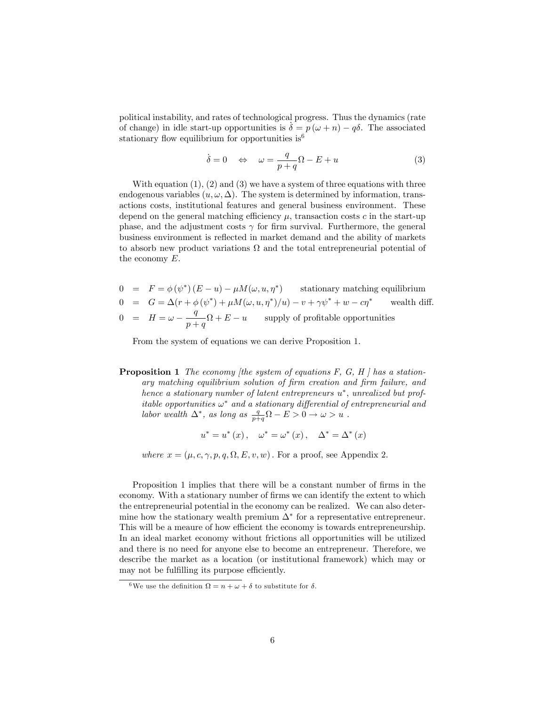political instability, and rates of technological progress. Thus the dynamics (rate of change) in idle start-up opportunities is  $\delta = p(\omega + n) - q\delta$ . The associated stationary flow equilibrium for opportunities is  $6^6$ 

$$
\dot{\delta} = 0 \quad \Leftrightarrow \quad \omega = \frac{q}{p+q}\Omega - E + u \tag{3}
$$

With equation  $(1)$ ,  $(2)$  and  $(3)$  we have a system of three equations with three endogenous variables  $(u, \omega, \Delta)$ . The system is determined by information, transactions costs, institutional features and general business environment. These depend on the general matching efficiency  $\mu$ , transaction costs c in the start-up phase, and the adjustment costs  $\gamma$  for firm survival. Furthermore, the general business environment is reflected in market demand and the ability of markets to absorb new product variations  $\Omega$  and the total entrepreneurial potential of the economy E.

$$
0 = F = \phi(\psi^*)(E - u) - \mu M(\omega, u, \eta^*)
$$
stationary matching equilibrium  
\n
$$
0 = G = \Delta(r + \phi(\psi^*) + \mu M(\omega, u, \eta^*)/u) - v + \gamma \psi^* + w - c\eta^*
$$
 wealth diff.  
\n
$$
0 = H = \omega - \frac{q}{p+q}\Omega + E - u
$$
 supply of profitable opportunities

From the system of equations we can derive Proposition 1.

**Proposition 1** The economy [the system of equations  $F$ ,  $G$ ,  $H$  ] has a stationary matching equilibrium solution of firm creation and firm failure, and hence a stationary number of latent entrepreneurs  $u^*$ , unrealized but profitable opportunities  $\omega^*$  and a stationary differential of entrepreneurial and labor wealth  $\Delta^*$ , as long as  $\frac{q}{p+q}\Omega - E > 0 \rightarrow \omega > u$ .

$$
u^* = u^*(x)
$$
,  $\omega^* = \omega^*(x)$ ,  $\Delta^* = \Delta^*(x)$ 

where  $x = (\mu, c, \gamma, p, q, \Omega, E, v, w)$ . For a proof, see Appendix 2.

Proposition 1 implies that there will be a constant number of firms in the economy. With a stationary number of firms we can identify the extent to which the entrepreneurial potential in the economy can be realized. We can also determine how the stationary wealth premium  $\Delta^*$  for a representative entrepreneur. This will be a meaure of how efficient the economy is towards entrepreneurship. In an ideal market economy without frictions all opportunities will be utilized and there is no need for anyone else to become an entrepreneur. Therefore, we describe the market as a location (or institutional framework) which may or may not be fulfilling its purpose efficiently.

<sup>&</sup>lt;sup>6</sup>We use the definition  $\Omega = n + \omega + \delta$  to substitute for  $\delta$ .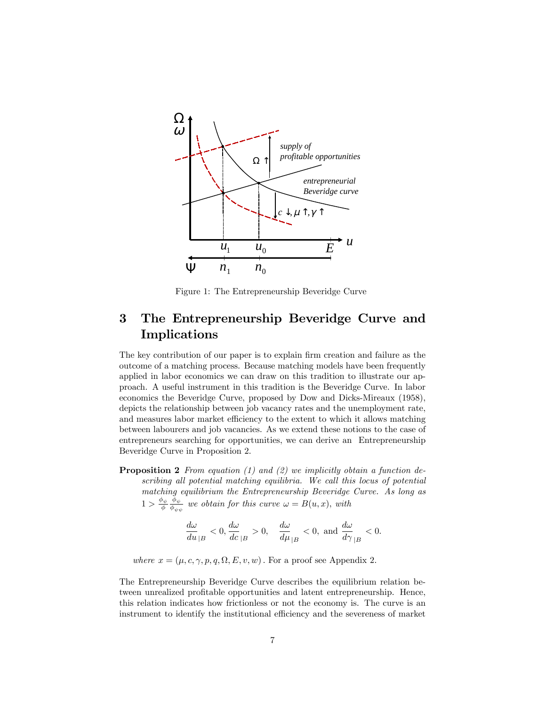

Figure 1: The Entrepreneurship Beveridge Curve

### 3 The Entrepreneurship Beveridge Curve and Implications

The key contribution of our paper is to explain firm creation and failure as the outcome of a matching process. Because matching models have been frequently applied in labor economics we can draw on this tradition to illustrate our approach. A useful instrument in this tradition is the Beveridge Curve. In labor economics the Beveridge Curve, proposed by Dow and Dicks-Mireaux (1958), depicts the relationship between job vacancy rates and the unemployment rate, and measures labor market efficiency to the extent to which it allows matching between labourers and job vacancies. As we extend these notions to the case of entrepreneurs searching for opportunities, we can derive an Entrepreneurship Beveridge Curve in Proposition 2.

**Proposition 2** From equation  $(1)$  and  $(2)$  we implicitly obtain a function describing all potential matching equilibria. We call this locus of potential matching equilibrium the Entrepreneurship Beveridge Curve. As long as  $1 > \frac{\phi_{\psi}}{\phi} \frac{\phi_{\psi}}{\phi_{\psi_{\psi}}}$  $\frac{\partial \psi_{\psi}}{\partial \phi_{\psi \psi}}$  we obtain for this curve  $\omega = B(u, x)$ , with

$$
\frac{d\omega}{du}_{|B|}<0, \frac{d\omega}{dc}_{|B|}>0, \quad \frac{d\omega}{d\mu}_{|B|}<0, \text{ and } \frac{d\omega}{d\gamma}_{|B|}<0.
$$

where  $x = (\mu, c, \gamma, p, q, \Omega, E, v, w)$ . For a proof see Appendix 2.

The Entrepreneurship Beveridge Curve describes the equilibrium relation between unrealized profitable opportunities and latent entrepreneurship. Hence, this relation indicates how frictionless or not the economy is. The curve is an instrument to identify the institutional efficiency and the severeness of market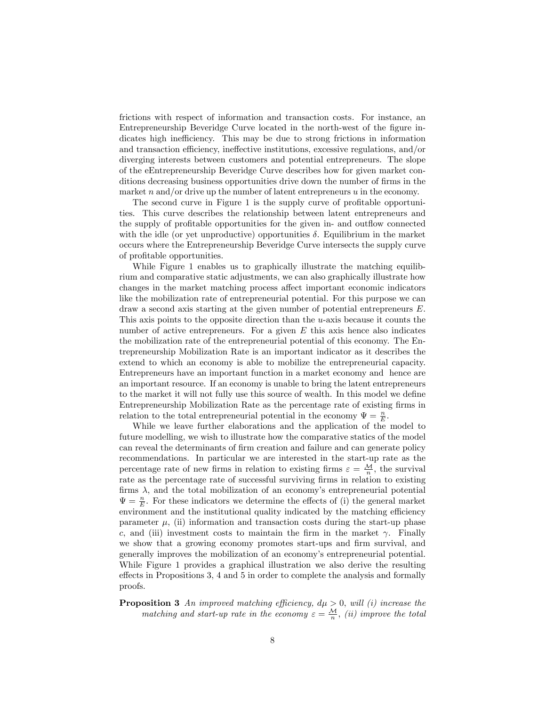frictions with respect of information and transaction costs. For instance, an Entrepreneurship Beveridge Curve located in the north-west of the figure indicates high inefficiency. This may be due to strong frictions in information and transaction efficiency, ineffective institutions, excessive regulations, and/or diverging interests between customers and potential entrepreneurs. The slope of the eEntrepreneurship Beveridge Curve describes how for given market conditions decreasing business opportunities drive down the number of firms in the market n and/or drive up the number of latent entrepreneurs  $u$  in the economy.

The second curve in Figure 1 is the supply curve of profitable opportunities. This curve describes the relationship between latent entrepreneurs and the supply of profitable opportunities for the given in- and outflow connected with the idle (or yet unproductive) opportunities  $\delta$ . Equilibrium in the market occurs where the Entrepreneurship Beveridge Curve intersects the supply curve of profitable opportunities.

While Figure 1 enables us to graphically illustrate the matching equilibrium and comparative static adjustments, we can also graphically illustrate how changes in the market matching process affect important economic indicators like the mobilization rate of entrepreneurial potential. For this purpose we can draw a second axis starting at the given number of potential entrepreneurs E. This axis points to the opposite direction than the u-axis because it counts the number of active entrepreneurs. For a given  $E$  this axis hence also indicates the mobilization rate of the entrepreneurial potential of this economy. The Entrepreneurship Mobilization Rate is an important indicator as it describes the extend to which an economy is able to mobilize the entrepreneurial capacity. Entrepreneurs have an important function in a market economy and hence are an important resource. If an economy is unable to bring the latent entrepreneurs to the market it will not fully use this source of wealth. In this model we define Entrepreneurship Mobilization Rate as the percentage rate of existing firms in relation to the total entrepreneurial potential in the economy  $\Psi = \frac{n}{E}$ .

While we leave further elaborations and the application of the model to future modelling, we wish to illustrate how the comparative statics of the model can reveal the determinants of firm creation and failure and can generate policy recommendations. In particular we are interested in the start-up rate as the percentage rate of new firms in relation to existing firms  $\varepsilon = \frac{M}{n}$ , the survival rate as the percentage rate of successful surviving firms in relation to existing firms  $\lambda$ , and the total mobilization of an economy's entrepreneurial potential  $\Psi = \frac{n}{E}$ . For these indicators we determine the effects of (i) the general market environment and the institutional quality indicated by the matching efficiency parameter  $\mu$ , (ii) information and transaction costs during the start-up phase c, and (iii) investment costs to maintain the firm in the market  $\gamma$ . Finally we show that a growing economy promotes start-ups and firm survival, and generally improves the mobilization of an economy's entrepreneurial potential. While Figure 1 provides a graphical illustration we also derive the resulting effects in Propositions 3, 4 and 5 in order to complete the analysis and formally proofs.

### **Proposition 3** An improved matching efficiency,  $d\mu > 0$ , will (i) increase the matching and start-up rate in the economy  $\varepsilon = \frac{M}{n}$ , (ii) improve the total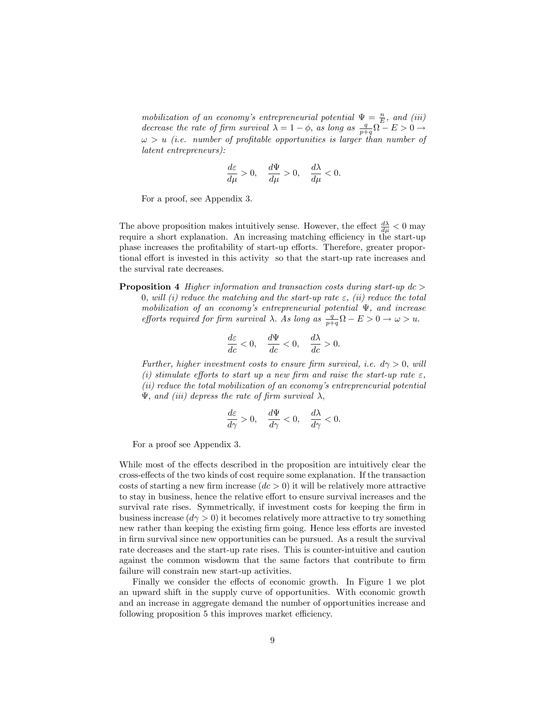mobilization of an economy's entrepreneurial potential  $\Psi = \frac{n}{E}$ , and (iii) decrease the rate of firm survival  $\lambda = 1 - \phi$ , as long as  $\frac{q}{p+q} \Omega - E > 0 \rightarrow$  $\omega > u$  (i.e. number of profitable opportunities is larger than number of latent entrepreneurs):

$$
\frac{d\varepsilon}{d\mu} > 0, \quad \frac{d\Psi}{d\mu} > 0, \quad \frac{d\lambda}{d\mu} < 0.
$$

For a proof, see Appendix 3.

The above proposition makes intuitively sense. However, the effect  $\frac{d\lambda}{d\mu} < 0$  may require a short explanation. An increasing matching efficiency in the start-up phase increases the profitability of start-up efforts. Therefore, greater proportional effort is invested in this activity so that the start-up rate increases and the survival rate decreases.

**Proposition 4** Higher information and transaction costs during start-up  $dc >$ 0, will (i) reduce the matching and the start-up rate  $\varepsilon$ , (ii) reduce the total mobilization of an economy's entrepreneurial potential  $\Psi$ , and increase efforts required for firm survival  $\lambda$ . As long as  $\frac{q}{p+q}\Omega - E > 0 \rightarrow \omega > u$ .

$$
\frac{d\varepsilon}{dc} < 0, \quad \frac{d\Psi}{dc} < 0, \quad \frac{d\lambda}{dc} > 0.
$$

Further, higher investment costs to ensure firm survival, i.e.  $d\gamma > 0$ , will (i) stimulate efforts to start up a new firm and raise the start-up rate  $\varepsilon$ , (ii) reduce the total mobilization of an economyís entrepreneurial potential  $\Psi$ , and (iii) depress the rate of firm survival  $\lambda$ ,

$$
\frac{d\varepsilon}{d\gamma} > 0, \quad \frac{d\Psi}{d\gamma} < 0, \quad \frac{d\lambda}{d\gamma} < 0.
$$

For a proof see Appendix 3.

While most of the effects described in the proposition are intuitively clear the cross-effects of the two kinds of cost require some explanation. If the transaction costs of starting a new firm increase  $(dc > 0)$  it will be relatively more attractive to stay in business, hence the relative effort to ensure survival increases and the survival rate rises. Symmetrically, if investment costs for keeping the firm in business increase  $(d\gamma > 0)$  it becomes relatively more attractive to try something new rather than keeping the existing firm going. Hence less efforts are invested in firm survival since new opportunities can be pursued. As a result the survival rate decreases and the start-up rate rises. This is counter-intuitive and caution against the common wisdowm that the same factors that contribute to Örm failure will constrain new start-up activities.

Finally we consider the effects of economic growth. In Figure 1 we plot an upward shift in the supply curve of opportunities. With economic growth and an increase in aggregate demand the number of opportunities increase and following proposition 5 this improves market efficiency.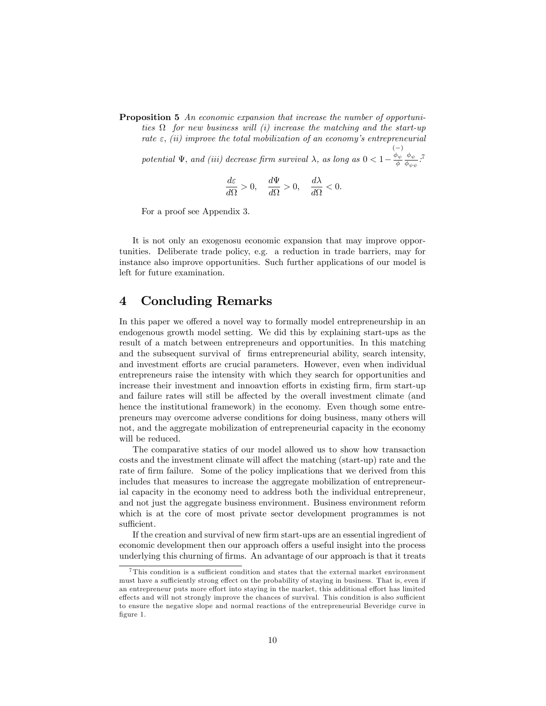Proposition 5 An economic expansion that increase the number of opportunities  $\Omega$  for new business will (i) increase the matching and the start-up rate  $\varepsilon$ , (ii) improve the total mobilization of an economy's entrepreneurial

potential  $\Psi$ , and (iii) decrease firm survival  $\lambda$ , as long as  $0 < 1 \frac{\phi_{\psi}}{\phi} \frac{\phi_{\psi}}{\phi_{\psi}}$  $\frac{\phi_\psi}{\phi_{\psi\psi}}$  :  $^7$ 

$$
\frac{d\varepsilon}{d\Omega}>0,\quad \frac{d\Psi}{d\Omega}>0,\quad \frac{d\lambda}{d\Omega}<0.
$$

For a proof see Appendix 3.

It is not only an exogenosu economic expansion that may improve opportunities. Deliberate trade policy, e.g. a reduction in trade barriers, may for instance also improve opportunities. Such further applications of our model is left for future examination.

### 4 Concluding Remarks

In this paper we offered a novel way to formally model entrepreneurship in an endogenous growth model setting. We did this by explaining start-ups as the result of a match between entrepreneurs and opportunities. In this matching and the subsequent survival of firms entrepreneurial ability, search intensity, and investment efforts are crucial parameters. However, even when individual entrepreneurs raise the intensity with which they search for opportunities and increase their investment and innoavtion efforts in existing firm, firm start-up and failure rates will still be affected by the overall investment climate (and hence the institutional framework) in the economy. Even though some entrepreneurs may overcome adverse conditions for doing business, many others will not, and the aggregate mobilization of entrepreneurial capacity in the economy will be reduced.

The comparative statics of our model allowed us to show how transaction costs and the investment climate will affect the matching (start-up) rate and the rate of firm failure. Some of the policy implications that we derived from this includes that measures to increase the aggregate mobilization of entrepreneurial capacity in the economy need to address both the individual entrepreneur, and not just the aggregate business environment. Business environment reform which is at the core of most private sector development programmes is not sufficient.

If the creation and survival of new firm start-ups are an essential ingredient of economic development then our approach offers a useful insight into the process underlying this churning of firms. An advantage of our approach is that it treats

 $7$ This condition is a sufficient condition and states that the external market environment must have a sufficiently strong effect on the probability of staying in business. That is, even if an entrepreneur puts more effort into staying in the market, this additional effort has limited effects and will not strongly improve the chances of survival. This condition is also sufficient to ensure the negative slope and normal reactions of the entrepreneurial Beveridge curve in figure 1.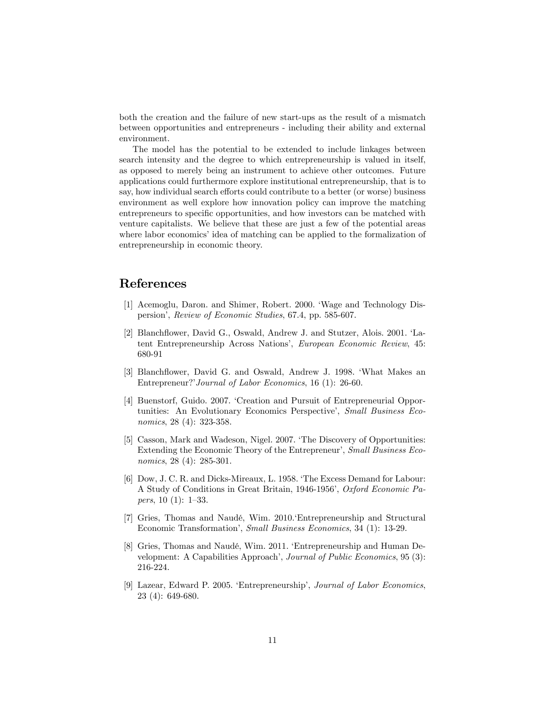both the creation and the failure of new start-ups as the result of a mismatch between opportunities and entrepreneurs - including their ability and external environment.

The model has the potential to be extended to include linkages between search intensity and the degree to which entrepreneurship is valued in itself, as opposed to merely being an instrument to achieve other outcomes. Future applications could furthermore explore institutional entrepreneurship, that is to say, how individual search efforts could contribute to a better (or worse) business environment as well explore how innovation policy can improve the matching entrepreneurs to specific opportunities, and how investors can be matched with venture capitalists. We believe that these are just a few of the potential areas where labor economics' idea of matching can be applied to the formalization of entrepreneurship in economic theory.

### References

- [1] Acemoglu, Daron. and Shimer, Robert. 2000. 'Wage and Technology Dispersion', Review of Economic Studies, 67.4, pp. 585-607.
- [2] Blanchflower, David G., Oswald, Andrew J. and Stutzer, Alois. 2001. 'Latent Entrepreneurship Across Nations', European Economic Review, 45: 680-91
- [3] Blanchflower, David G. and Oswald, Andrew J. 1998. 'What Makes an Entrepreneur?'Journal of Labor Economics, 16 (1): 26-60.
- [4] Buenstorf, Guido. 2007. 'Creation and Pursuit of Entrepreneurial Opportunities: An Evolutionary Economics Perspective', Small Business Economics, 28 (4): 323-358.
- [5] Casson, Mark and Wadeson, Nigel. 2007. ëThe Discovery of Opportunities: Extending the Economic Theory of the Entrepreneur', Small Business Economics, 28 (4): 285-301.
- [6] Dow, J. C. R. and Dicks-Mireaux, L. 1958. ëThe Excess Demand for Labour: A Study of Conditions in Great Britain, 1946-1956', Oxford Economic Papers,  $10(1)$ : 1-33.
- [7] Gries, Thomas and NaudÈ, Wim. 2010.ëEntrepreneurship and Structural Economic Transformation', Small Business Economics, 34 (1): 13-29.
- [8] Gries, Thomas and Naudé, Wim. 2011. 'Entrepreneurship and Human Development: A Capabilities Approach', Journal of Public Economics, 95 (3): 216-224.
- [9] Lazear, Edward P. 2005. 'Entrepreneurship', Journal of Labor Economics, 23 (4): 649-680.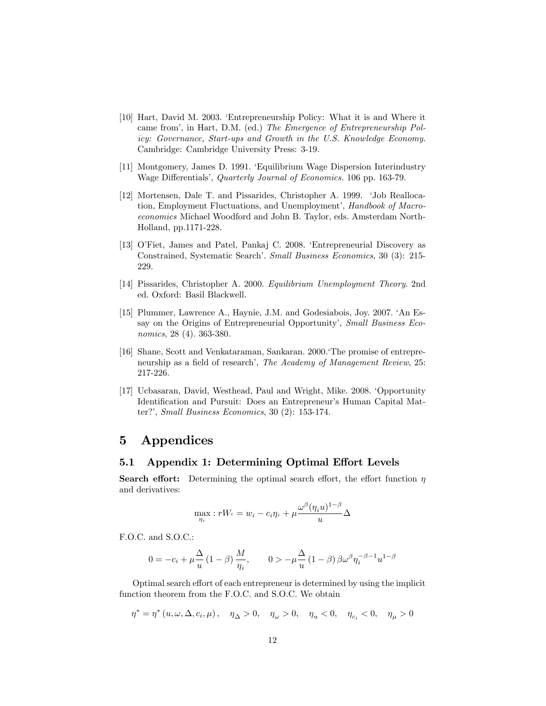- [10] Hart, David M. 2003. ëEntrepreneurship Policy: What it is and Where it came from', in Hart, D.M. (ed.) The Emergence of Entrepreneurship Policy: Governance, Start-ups and Growth in the U.S. Knowledge Economy. Cambridge: Cambridge University Press: 3-19.
- [11] Montgomery, James D. 1991. 'Equilibrium Wage Dispersion Interindustry Wage Differentials', *Quarterly Journal of Economics*. 106 pp. 163-79.
- [12] Mortensen, Dale T. and Pissarides, Christopher A. 1999. 'Job Reallocation, Employment Fluctuations, and Unemployment', Handbook of Macroeconomics Michael Woodford and John B. Taylor, eds. Amsterdam North-Holland, pp.1171-228.
- [13] O'Fiet, James and Patel, Pankaj C. 2008. 'Entrepreneurial Discovery as Constrained, Systematic Search<sup>7</sup>. Small Business Economics, 30 (3): 215-229.
- [14] Pissarides, Christopher A. 2000. Equilibrium Unemployment Theory. 2nd ed. Oxford: Basil Blackwell.
- [15] Plummer, Lawrence A., Haynie, J.M. and Godesiabois, Joy. 2007. ëAn Essay on the Origins of Entrepreneurial Opportunity', Small Business Economics, 28 (4). 363-380.
- [16] Shane, Scott and Venkataraman, Sankaran. 2000. The promise of entrepreneurship as a field of research', The Academy of Management Review, 25: 217-226.
- [17] Ucbasaran, David, Westhead, Paul and Wright, Mike. 2008. 'Opportunity Identification and Pursuit: Does an Entrepreneur's Human Capital Matter?', Small Business Economics, 30  $(2)$ : 153-174.

### 5 Appendices

#### 5.1 Appendix 1: Determining Optimal Effort Levels

**Search effort:** Determining the optimal search effort, the effort function  $\eta$ and derivatives:

$$
\max_{\eta_i}:rW_i=w_i-c_i\eta_i+\mu \frac{\omega^\beta(\eta_i u)^{1-\beta}}{u}\Delta
$$

F.O.C. and S.O.C.:

$$
0 = -c_i + \mu \frac{\Delta}{u} (1 - \beta) \frac{M}{\eta_i}, \qquad 0 > -\mu \frac{\Delta}{u} (1 - \beta) \beta \omega^{\beta} \eta_i^{-\beta - 1} u^{1 - \beta}
$$

Optimal search effort of each entrepreneur is determined by using the implicit function theorem from the F.O.C. and S.O.C. We obtain

$$
\eta^* = \eta^*\left(u, \omega, \Delta, c_i, \mu\right), \quad \eta_{\Delta} > 0, \quad \eta_{\omega} > 0, \quad \eta_u < 0, \quad \eta_{c_i} < 0, \quad \eta_{\mu} > 0
$$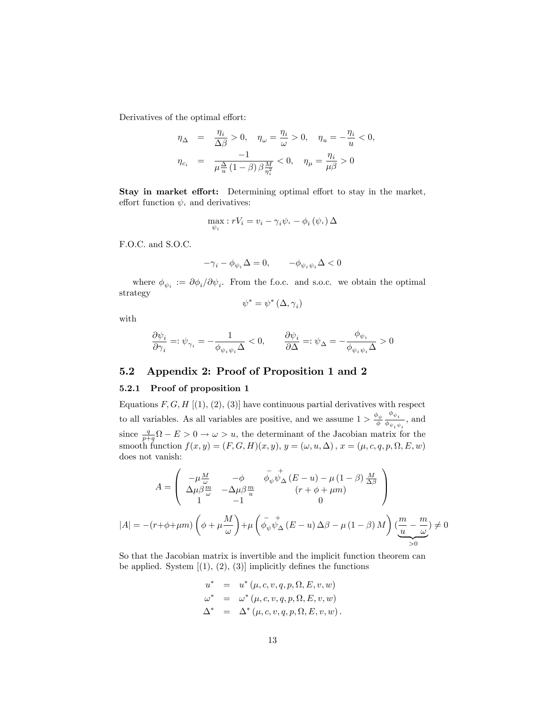Derivatives of the optimal effort:

$$
\begin{array}{rcl} \eta_\Delta&=&\displaystyle\frac{\eta_i}{\Delta\beta}>0,\quad \eta_\omega=\frac{\eta_i}{\omega}>0,\quad \eta_u=-\frac{\eta_i}{u}<0,\\[2mm] \eta_{c_i}&=&\displaystyle\frac{-1}{\mu\frac{\Delta}{u}\left(1-\beta\right)\beta\frac{M}{\eta_i^2}}<0,\quad \eta_\mu=\frac{\eta_i}{\mu\beta}>0 \end{array}
$$

Stay in market effort: Determining optimal effort to stay in the market, effort function  $\psi_i$  and derivatives:

$$
\max_{\psi_i} : rV_i = v_i - \gamma_i \psi_i - \phi_i (\psi_i) \Delta
$$

F.O.C. and S.O.C.

$$
-\gamma_i-\phi_{\psi_i}\Delta=0,\qquad -\phi_{\psi_i\psi_i}\Delta<0
$$

where  $\phi_{\psi_i} := \partial \phi_i / \partial \psi_i$ . From the f.o.c. and s.o.c. we obtain the optimal strategy

$$
\psi^* = \psi^* \left( \Delta, \gamma_i \right)
$$

with

$$
\frac{\partial \psi_i}{\partial \gamma_i} =: \psi_{\gamma_i} = -\frac{1}{\phi_{\psi_i \psi_i} \Delta} < 0, \qquad \frac{\partial \psi_i}{\partial \Delta} =: \psi_{\Delta} = -\frac{\phi_{\psi_i}}{\phi_{\psi_i \psi_i} \Delta} > 0
$$

#### 5.2 Appendix 2: Proof of Proposition 1 and 2

#### 5.2.1 Proof of proposition 1

Equations  $F, G, H$  [(1), (2), (3)] have continuous partial derivatives with respect to all variables. As all variables are positive, and we assume  $1 > \frac{\phi_{\psi}}{\phi}$  $\phi_{\psi_i}$  $\frac{\partial \psi_i}{\partial \psi_i \psi_i}$ , and since  $\frac{q}{p+q}\Omega - E > 0 \rightarrow \omega > u$ , the determinant of the Jacobian matrix for the smooth function  $f(x, y) = (F, G, H)(x, y), y = (\omega, u, \Delta), x = (\mu, c, q, p, \Omega, E, w)$ does not vanish:

$$
A = \begin{pmatrix} -\mu \frac{M}{\omega} & -\phi & \bar{\phi}_{\psi} \psi_{\Delta}^{\dagger} (E - u) - \mu (1 - \beta) \frac{M}{\Delta \beta} \\ \Delta \mu \beta \frac{m}{\omega} & -\Delta \mu \beta \frac{m}{u} & (r + \phi + \mu m) \\ 1 & -1 & 0 \end{pmatrix}
$$

$$
|A| = -(r + \phi + \mu m) \left( \phi + \mu \frac{M}{\omega} \right) + \mu \left( \bar{\phi}_{\psi} \psi_{\Delta}^{\dagger} (E - u) \Delta \beta - \mu (1 - \beta) M \right) \left( \underbrace{\frac{m}{u} - \frac{m}{\omega}}_{>0} \right) \neq 0
$$

So that the Jacobian matrix is invertible and the implicit function theorem can be applied. System  $[(1), (2), (3)]$  implicitly defines the functions

$$
u^* = u^* (\mu, c, v, q, p, \Omega, E, v, w)
$$
  
\n
$$
\omega^* = \omega^* (\mu, c, v, q, p, \Omega, E, v, w)
$$
  
\n
$$
\Delta^* = \Delta^* (\mu, c, v, q, p, \Omega, E, v, w).
$$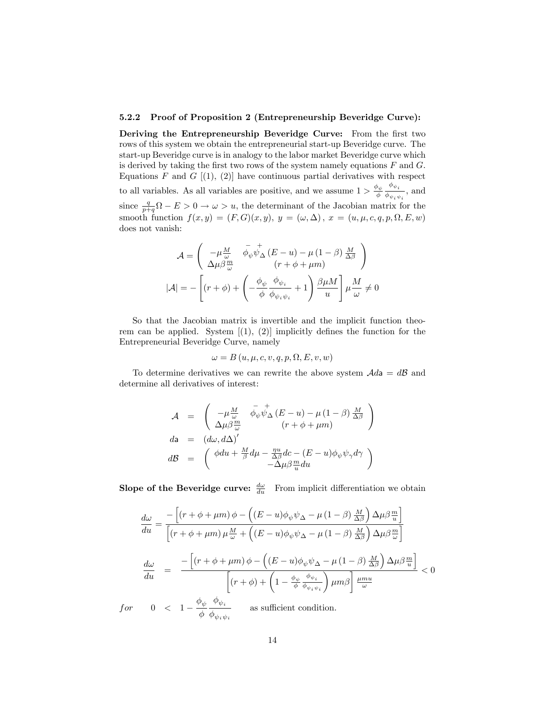#### 5.2.2 Proof of Proposition 2 (Entrepreneurship Beveridge Curve):

Deriving the Entrepreneurship Beveridge Curve: From the first two rows of this system we obtain the entrepreneurial start-up Beveridge curve. The start-up Beveridge curve is in analogy to the labor market Beveridge curve which is derived by taking the first two rows of the system namely equations  $F$  and  $G$ . Equations F and G  $[(1), (2)]$  have continuous partial derivatives with respect to all variables. As all variables are positive, and we assume  $1 > \frac{\phi_{\psi}}{\phi}$  $\phi_{\psi_i}$  $\frac{\partial \psi_i}{\partial \psi_i \psi_i}$ , and since  $\frac{q}{p+q}\Omega - E > 0 \rightarrow \omega > u$ , the determinant of the Jacobian matrix for the smooth function  $f(x,y) = (F,G)(x,y)$ ,  $y = (\omega, \Delta)$ ,  $x = (u, \mu, c, q, p, \Omega, E, w)$ does not vanish:

$$
\mathcal{A} = \begin{pmatrix} -\mu \frac{M}{\omega} & \bar{\phi}_{\psi} \psi_{\Delta}^{\dagger} (E - u) - \mu (1 - \beta) \frac{M}{\Delta \beta} \\ \Delta \mu \beta \frac{m}{\omega} & (r + \phi + \mu m) \end{pmatrix}
$$

$$
|\mathcal{A}| = -\left[ (r + \phi) + \left( -\frac{\phi_{\psi}}{\phi} \frac{\phi_{\psi_i}}{\phi_{\psi_i \psi_i}} + 1 \right) \frac{\beta \mu M}{u} \right] \mu \frac{M}{\omega} \neq 0
$$

So that the Jacobian matrix is invertible and the implicit function theorem can be applied. System  $[(1), (2)]$  implicitly defines the function for the Entrepreneurial Beveridge Curve, namely

$$
\omega = B(u, \mu, c, v, q, p, \Omega, E, v, w)
$$

To determine derivatives we can rewrite the above system  $\mathcal{A}d\mathbf{a} = d\mathcal{B}$  and determine all derivatives of interest:

$$
\begin{array}{rcl}\nA & = & \left( \begin{array}{cc} -\mu \frac{M}{\omega} & \bar{\phi}_{\psi} \psi_{\Delta}^+ \left( E - u \right) - \mu \left( 1 - \beta \right) \frac{M}{\Delta \beta} \\ \Delta \mu \beta \frac{m}{\omega} & \left( r + \phi + \mu m \right) \end{array} \right) \\
da & = & \left( d\omega, d\Delta \right)' \\
dB & = & \left( \begin{array}{cc} \phi du + \frac{M}{\beta} d\mu - \frac{\eta u}{\Delta \beta} dc - (E - u)\phi_{\psi} \psi_{\gamma} d\gamma \\ -\Delta \mu \beta \frac{m}{u} du \end{array} \right)\n\end{array}
$$

**Slope of the Beveridge curve:**  $\frac{d\omega}{du}$  From implicit differentiation we obtain

$$
\frac{d\omega}{du} = \frac{-\left[\left(r+\phi+\mu m\right)\phi - \left((E-u)\phi_{\psi}\psi_{\Delta}-\mu\left(1-\beta\right)\frac{M}{\Delta\beta}\right)\Delta\mu\beta\frac{m}{u}\right]}{\left[\left(r+\phi+\mu m\right)\mu\frac{M}{\omega} + \left((E-u)\phi_{\psi}\psi_{\Delta}-\mu\left(1-\beta\right)\frac{M}{\Delta\beta}\right)\Delta\mu\beta\frac{m}{\omega}\right]}
$$
\n
$$
\frac{d\omega}{du} = \frac{-\left[\left(r+\phi+\mu m\right)\phi - \left((E-u)\phi_{\psi}\psi_{\Delta}-\mu\left(1-\beta\right)\frac{M}{\Delta\beta}\right)\Delta\mu\beta\frac{m}{u}\right]}{\left[\left(r+\phi\right) + \left(1-\frac{\phi_{\psi}}{\phi}\frac{\phi_{\psi_{i}}}{\phi_{\psi_{i}\psi_{i}}}\right)\mu m\beta\right]\frac{\mu m u}{\omega}} < 0
$$

for  $0 < 1 - \frac{\phi_{\psi}}{\phi}$  $\phi$  $\phi_{\psi_i \psi_i}$ as sufficient condition.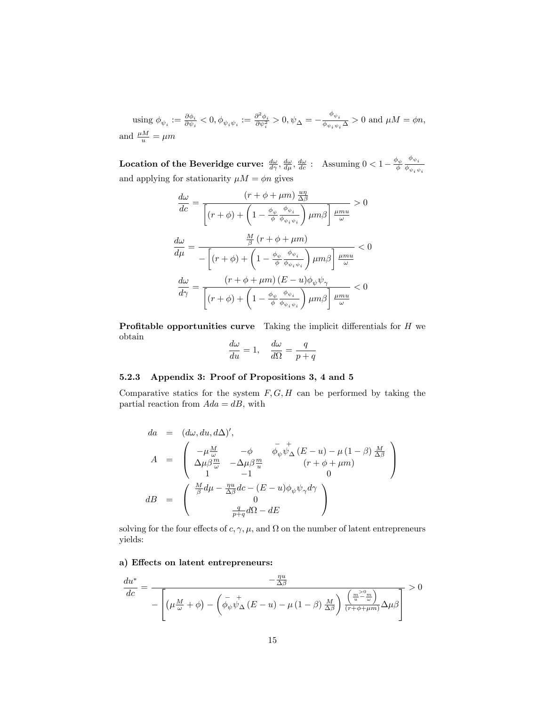using  $\phi_{\psi_i} := \frac{\partial \phi_i}{\partial \psi_i}$  $\frac{\partial \phi_i}{\partial \psi_i} < 0, \phi_{\psi_i \psi_i} := \frac{\partial^2 \phi_i}{\partial \psi_i^2} > 0, \psi_{\Delta} = -\frac{\phi_{\psi_i}}{\phi_{\psi_i \psi_i}}$  $\frac{\partial \psi_i}{\partial \phi_i \psi_i} \geq 0$  and  $\mu M = \phi n$ , and  $\frac{\mu M}{u} = \mu m$ 

**Location of the Beveridge curve:**  $\frac{d\omega}{d\gamma}, \frac{d\omega}{d\mu}, \frac{d\omega}{dc}$  : Assuming  $0 < 1 - \frac{\phi_{\psi}}{\phi}$  $\phi_{\psi_i}$  $\phi_{\psi_i \psi_i}$ and applying for stationarity  $\mu M = \phi n$  gives

$$
\frac{d\omega}{dc} = \frac{\left(r + \phi + \mu m\right) \frac{u\eta}{\Delta \beta}}{\left[\left(r + \phi\right) + \left(1 - \frac{\phi_{\psi}}{\phi} \frac{\phi_{\psi_i}}{\phi_{\psi_i \psi_i}}\right) \mu m \beta\right] \frac{\mu m u}{\omega}} > 0
$$
\n
$$
\frac{d\omega}{d\mu} = \frac{\frac{M}{\beta} \left(r + \phi + \mu m\right)}{-\left[\left(r + \phi\right) + \left(1 - \frac{\phi_{\psi}}{\phi} \frac{\phi_{\psi_i}}{\phi_{\psi_i \psi_i}}\right) \mu m \beta\right] \frac{\mu m u}{\omega}} < 0
$$
\n
$$
\frac{d\omega}{d\gamma} = \frac{\left(r + \phi + \mu m\right) \left(E - u\right) \phi_{\psi} \psi_{\gamma}}{\left[\left(r + \phi\right) + \left(1 - \frac{\phi_{\psi}}{\phi} \frac{\phi_{\psi_i}}{\phi_{\psi_i \psi_i}}\right) \mu m \beta\right] \frac{\mu m u}{\omega}} < 0
$$

**Profitable opportunities curve** Taking the implicit differentials for  $H$  we obtain  $\overline{1}$ 

$$
\frac{d\omega}{du} = 1, \quad \frac{d\omega}{d\Omega} = \frac{q}{p+q}
$$

#### 5.2.3 Appendix 3: Proof of Propositions 3, 4 and 5

Comparative statics for the system  $F, G, H$  can be performed by taking the partial reaction from  $Ada = dB$ , with

$$
da = (d\omega, du, d\Delta)',
$$
  
\n
$$
A = \begin{pmatrix} -\mu \frac{M}{\omega} & -\phi & \bar{\phi}_{\psi}\psi_{\Delta} (E - u) - \mu (1 - \beta) \frac{M}{\Delta \beta} \\ \Delta \mu \beta \frac{m}{\omega} & -\Delta \mu \beta \frac{m}{u} & (r + \phi + \mu m) \\ 1 & -1 & 0 \end{pmatrix}
$$
  
\n
$$
dB = \begin{pmatrix} \frac{M}{\beta} d\mu - \frac{\eta u}{\Delta \beta} dc - (E - u)\phi_{\psi}\psi_{\gamma} d\gamma \\ 0 \\ \frac{q}{p+q} d\Omega - dE \end{pmatrix}
$$

solving for the four effects of  $c, \gamma, \mu$ , and  $\Omega$  on the number of latent entrepreneurs yields:

#### a) Effects on latent entrepreneurs:

$$
\frac{du^*}{dc} = \frac{-\frac{\eta u}{\Delta \beta}}{-\left[ \left( \mu \frac{M}{\omega} + \phi \right) - \left( \bar{\phi}_{\psi} \psi_{\Delta} \left( E - u \right) - \mu \left( 1 - \beta \right) \frac{M}{\Delta \beta} \right) \frac{\left( \frac{m^2}{u} - \frac{m}{\omega} \right)}{\left( r + \phi + \mu m \right)} \Delta \mu \beta} \right]} > 0
$$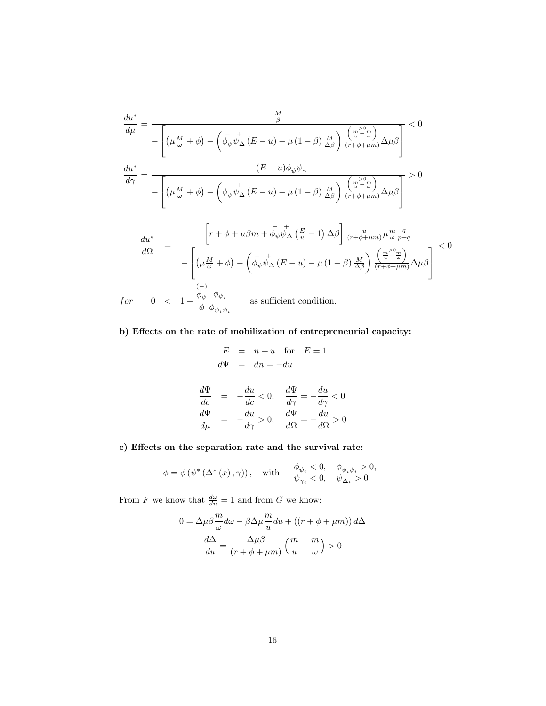$$
\frac{du^*}{d\mu} = \frac{\frac{M}{\beta}}{-\left[\left(\mu \frac{M}{\omega} + \phi\right) - \left(\bar{\phi}_{\psi} \psi_{\Delta} (E - u) - \mu (1 - \beta) \frac{M}{\Delta \beta}\right) \frac{\left(\frac{m}{u} - \frac{m}{\omega}\right)}{(r + \phi + \mu m)} \Delta \mu \beta\right]} < 0
$$
\n
$$
\frac{du^*}{d\gamma} = \frac{-\left(E - u\right)\phi_{\psi}\psi_{\gamma}}{-\left[\left(\mu \frac{M}{\omega} + \phi\right) - \left(\bar{\phi}_{\psi} \psi_{\Delta} (E - u) - \mu (1 - \beta) \frac{M}{\Delta \beta}\right) \frac{\left(\frac{m}{u} - \frac{m}{\omega}\right)}{(r + \phi + \mu m)} \Delta \mu \beta\right]} > 0
$$
\n
$$
\frac{du^*}{d\Omega} = \frac{\left[r + \phi + \mu \beta m + \bar{\phi}_{\psi} \psi_{\Delta} \left(\frac{E}{u} - 1\right) \Delta \beta\right] \frac{u}{(r + \phi + \mu m)} \mu \frac{m}{\omega} \frac{q}{p + q}}{-\left[\left(\mu \frac{M}{\omega} + \phi\right) - \left(\bar{\phi}_{\psi} \psi_{\Delta} (E - u) - \mu (1 - \beta) \frac{M}{\Delta \beta}\right) \frac{\left(\frac{m}{u} - \frac{m}{\omega}\right)}{(r + \phi + \mu m)} \Delta \mu \beta\right]} < 0
$$
\n
$$
\text{for} \quad 0 < 1 - \frac{\phi_{\psi}}{\phi} \frac{\phi_{\psi_i}}{\phi_{\psi_i \psi_i}} \quad \text{as sufficient condition.}
$$

### b) Effects on the rate of mobilization of entrepreneurial capacity:

$$
E = n + u \text{ for } E = 1
$$
  
\n
$$
d\Psi = dn = -du
$$
  
\n
$$
\frac{d\Psi}{dc} = -\frac{du}{dc} < 0, \quad \frac{d\Psi}{d\gamma} = -\frac{du}{d\gamma} < 0
$$
  
\n
$$
\frac{d\Psi}{d\mu} = -\frac{du}{d\gamma} > 0, \quad \frac{d\Psi}{d\Omega} = -\frac{du}{d\Omega} > 0
$$

### c) Effects on the separation rate and the survival rate:

$$
\phi = \phi \left( \psi^* \left( \Delta^* \left( x \right), \gamma \right) \right), \quad \text{with} \quad \begin{array}{c} \phi_{\psi_i} < 0, \quad \phi_{\psi_i \psi_i} > 0, \\ \psi_{\gamma_i} < 0, \quad \psi_{\Delta_i} > 0 \end{array}
$$

From F we know that  $\frac{d\omega}{du} = 1$  and from G we know:

$$
0 = \Delta \mu \beta \frac{m}{\omega} d\omega - \beta \Delta \mu \frac{m}{u} du + ((r + \phi + \mu m)) d\Delta
$$

$$
\frac{d\Delta}{du} = \frac{\Delta \mu \beta}{(r + \phi + \mu m)} \left( \frac{m}{u} - \frac{m}{\omega} \right) > 0
$$